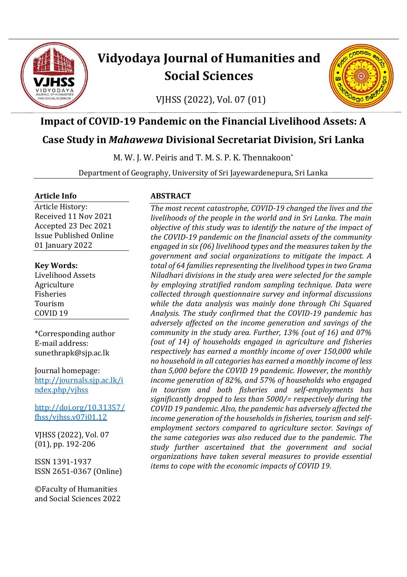

# **Vidyodaya Journal of Humanities and Social Sciences**

VJHSS (2022), Vol. 07 (01)



# **Impact of COVID-19 Pandemic on the Financial Livelihood Assets: A**

# **Case Study in** *Mahawewa* **Divisional Secretariat Division, Sri Lanka**

M. W. J. W. Peiris and T. M. S. P. K. Thennakoon\*

Department of Geography, University of Sri Jayewardenepura, Sri Lanka

#### **Article Info**

Article History: Received 11 Nov 2021 Accepted 23 Dec 2021 Issue Published Online 01 January 2022

**Key Words:** Livelihood Assets Agriculture Fisheries Tourism COVID 19

\*Corresponding author E-mail address: sunethrapk@sjp.ac.lk

Journal homepage: [http://journals.sjp.ac.lk/i](http://journals.sjp.ac.lk/index.php/vjhss) [ndex.php/vjhss](http://journals.sjp.ac.lk/index.php/vjhss)

[http://doi.org/10.31357/](http://doi.org/10.31357/fhss/vjhss.v07i01.12) [fhss/vjhss.v07i01.12](http://doi.org/10.31357/fhss/vjhss.v07i01.12)

VJHSS (2022), Vol. 07 (01), pp. 192-206

ISSN 1391-1937 ISSN 2651-0367 (Online)

©Faculty of Humanities and Social Sciences 2022

#### **ABSTRACT**

*The most recent catastrophe, COVID-19 changed the lives and the livelihoods of the people in the world and in Sri Lanka. The main objective of this study was to identify the nature of the impact of the COVID-19 pandemic on the financial assets of the community engaged in six (06) livelihood types and the measures taken by the government and social organizations to mitigate the impact. A total of 64 families representing the livelihood types in two Grama Niladhari divisions in the study area were selected for the sample by employing stratified random sampling technique. Data were collected through questionnaire survey and informal discussions while the data analysis was mainly done through Chi Squared Analysis. The study confirmed that the COVID-19 pandemic has adversely affected on the income generation and savings of the community in the study area. Further, 13% (out of 16) and 07% (out of 14) of households engaged in agriculture and fisheries respectively has earned a monthly income of over 150,000 while no household in all categories has earned a monthly income of less than 5,000 before the COVID 19 pandemic. However, the monthly income generation of 82%, and 57% of households who engaged in tourism and both fisheries and self-employments has significantly dropped to less than 5000/= respectively during the COVID 19 pandemic. Also, the pandemic has adversely affected the income generation of the households in fisheries, tourism and selfemployment sectors compared to agriculture sector. Savings of the same categories was also reduced due to the pandemic. The study further ascertained that the government and social organizations have taken several measures to provide essential items to cope with the economic impacts of COVID 19.*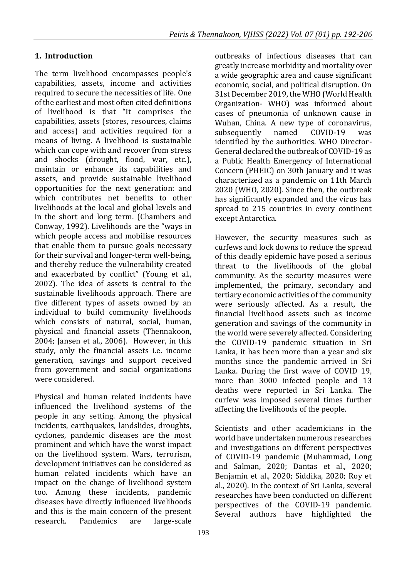#### **1. Introduction**

The term livelihood encompasses people's capabilities, assets, income and activities required to secure the necessities of life. One of the earliest and most often cited definitions of livelihood is that "It comprises the capabilities, assets (stores, resources, claims and access) and activities required for a means of living. A livelihood is sustainable which can cope with and recover from stress and shocks (drought, flood, war, etc.), maintain or enhance its capabilities and assets, and provide sustainable livelihood opportunities for the next generation: and which contributes net benefits to other livelihoods at the local and global levels and in the short and long term. (Chambers and Conway, 1992). Livelihoods are the "ways in which people access and mobilise resources that enable them to pursue goals necessary for their survival and longer-term well-being, and thereby reduce the vulnerability created and exacerbated by conflict" (Young et al., 2002). The idea of assets is central to the sustainable livelihoods approach. There are five different types of assets owned by an individual to build community livelihoods which consists of natural, social, human, physical and financial assets (Thennakoon, 2004; Jansen et al., 2006). However, in this study, only the financial assets i.e. income generation, savings and support received from government and social organizations were considered.

Physical and human related incidents have influenced the livelihood systems of the people in any setting. Among the physical incidents, earthquakes, landslides, droughts, cyclones, pandemic diseases are the most prominent and which have the worst impact on the livelihood system. Wars, terrorism, development initiatives can be considered as human related incidents which have an impact on the change of livelihood system too. Among these incidents, pandemic diseases have directly influenced livelihoods and this is the main concern of the present research. Pandemics are large-scale outbreaks of infectious diseases that can greatly increase morbidity and mortality over a wide geographic area and cause significant economic, social, and political disruption. On 31st December 2019, the WHO (World Health Organization- WHO) was informed about cases of pneumonia of unknown cause in Wuhan, China. A new type of coronavirus, subsequently named COVID-19 was identified by the authorities. WHO Director-General declared the outbreak of COVID-19 as a Public Health Emergency of International Concern (PHEIC) on 30th January and it was characterized as a pandemic on 11th March 2020 (WHO, 2020). Since then, the outbreak has significantly expanded and the virus has spread to 215 countries in every continent except Antarctica.

However, the security measures such as curfews and lock downs to reduce the spread of this deadly epidemic have posed a serious threat to the livelihoods of the global community. As the security measures were implemented, the primary, secondary and tertiary economic activities of the community were seriously affected. As a result, the financial livelihood assets such as income generation and savings of the community in the world were severely affected. Considering the COVID-19 pandemic situation in Sri Lanka, it has been more than a year and six months since the pandemic arrived in Sri Lanka. During the first wave of COVID 19, more than 3000 infected people and 13 deaths were reported in Sri Lanka. The curfew was imposed several times further affecting the livelihoods of the people.

Scientists and other academicians in the world have undertaken numerous researches and investigations on different perspectives of COVID-19 pandemic (Muhammad, Long and Salman, 2020; Dantas et al., 2020; Benjamin et al., 2020; Siddika, 2020; Roy et al., 2020). In the context of Sri Lanka, several researches have been conducted on different perspectives of the COVID-19 pandemic. Several authors have highlighted the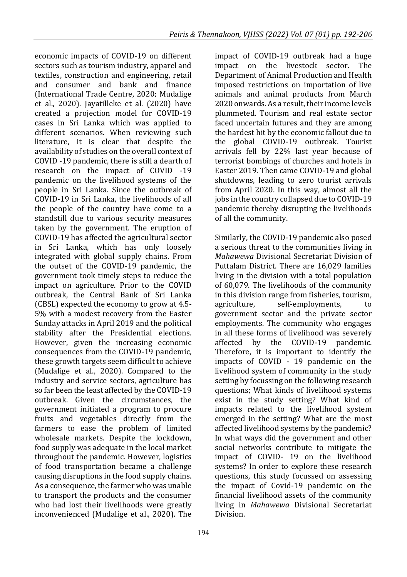economic impacts of COVID-19 on different sectors such as tourism industry, apparel and textiles, construction and engineering, retail and consumer and bank and finance (International Trade Centre, 2020; Mudalige et al., 2020). Jayatilleke et al. (2020) have created a projection model for COVID-19 cases in Sri Lanka which was applied to different scenarios. When reviewing such literature, it is clear that despite the availability of studies on the overall context of COVID -19 pandemic, there is still a dearth of research on the impact of COVID -19 pandemic on the livelihood systems of the people in Sri Lanka. Since the outbreak of COVID-19 in Sri Lanka, the livelihoods of all the people of the country have come to a standstill due to various security measures taken by the government. The eruption of COVID-19 has affected the agricultural sector in Sri Lanka, which has only loosely integrated with global supply chains. From the outset of the COVID-19 pandemic, the government took timely steps to reduce the impact on agriculture. Prior to the COVID outbreak, the Central Bank of Sri Lanka (CBSL) expected the economy to grow at 4.5- 5% with a modest recovery from the Easter Sunday attacks in April 2019 and the political stability after the Presidential elections. However, given the increasing economic consequences from the COVID-19 pandemic, these growth targets seem difficult to achieve (Mudalige et al., 2020). Compared to the industry and service sectors, agriculture has so far been the least affected by the COVID-19 outbreak. Given the circumstances, the government initiated a program to procure fruits and vegetables directly from the farmers to ease the problem of limited wholesale markets. Despite the lockdown, food supply was adequate in the local market throughout the pandemic. However, logistics of food transportation became a challenge causing disruptions in the food supply chains. As a consequence, the farmer who was unable to transport the products and the consumer who had lost their livelihoods were greatly inconvenienced (Mudalige et al., 2020). The

impact of COVID-19 outbreak had a huge impact on the livestock sector. The Department of Animal Production and Health imposed restrictions on importation of live animals and animal products from March 2020 onwards. As a result, their income levels plummeted. Tourism and real estate sector faced uncertain futures and they are among the hardest hit by the economic fallout due to the global COVID-19 outbreak. Tourist arrivals fell by 22% last year because of terrorist bombings of churches and hotels in Easter 2019. Then came COVID-19 and global shutdowns, leading to zero tourist arrivals from April 2020. In this way, almost all the jobs in the country collapsed due to COVID-19 pandemic thereby disrupting the livelihoods of all the community.

Similarly, the COVID-19 pandemic also posed a serious threat to the communities living in *Mahawewa* Divisional Secretariat Division of Puttalam District. There are 16,029 families living in the division with a total population of 60,079. The livelihoods of the community in this division range from fisheries, tourism, agriculture, self-employments, to government sector and the private sector employments. The community who engages in all these forms of livelihood was severely affected by the COVID-19 pandemic. Therefore, it is important to identify the impacts of COVID - 19 pandemic on the livelihood system of community in the study setting by focussing on the following research questions; What kinds of livelihood systems exist in the study setting? What kind of impacts related to the livelihood system emerged in the setting? What are the most affected livelihood systems by the pandemic? In what ways did the government and other social networks contribute to mitigate the impact of COVID- 19 on the livelihood systems? In order to explore these research questions, this study focussed on assessing the impact of Covid-19 pandemic on the financial livelihood assets of the community living in *Mahawewa* Divisional Secretariat Division.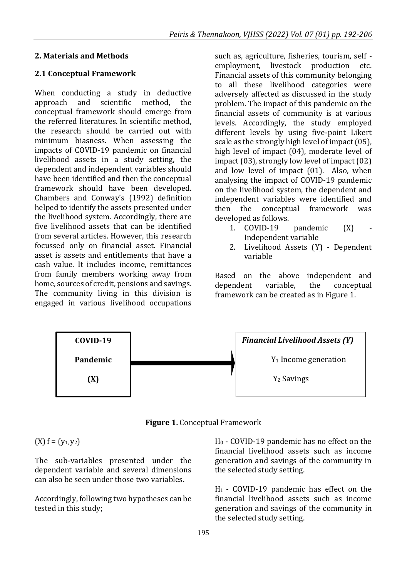#### **2. Materials and Methods**

#### **2.1 Conceptual Framework**

When conducting a study in deductive approach and scientific method, the conceptual framework should emerge from the referred literatures. In scientific method, the research should be carried out with minimum biasness. When assessing the impacts of COVID-19 pandemic on financial livelihood assets in a study setting, the dependent and independent variables should have been identified and then the conceptual framework should have been developed. Chambers and Conway's (1992) definition helped to identify the assets presented under the livelihood system. Accordingly, there are five livelihood assets that can be identified from several articles. However, this research focussed only on financial asset. Financial asset is assets and entitlements that have a cash value. It includes income, remittances from family members working away from home, sources of credit, pensions and savings. The community living in this division is engaged in various livelihood occupations such as, agriculture, fisheries, tourism, self employment, livestock production etc. Financial assets of this community belonging to all these livelihood categories were adversely affected as discussed in the study problem. The impact of this pandemic on the financial assets of community is at various levels. Accordingly, the study employed different levels by using five-point Likert scale as the strongly high level of impact (05), high level of impact (04), moderate level of impact (03), strongly low level of impact (02) and low level of impact (01). Also, when analysing the impact of COVID-19 pandemic on the livelihood system, the dependent and independent variables were identified and then the conceptual framework was developed as follows.

- 1.  $COVID-19$  pandemic  $(X)$ Independent variable
- 2. Livelihood Assets (Y) Dependent variable

Based on the above independent and dependent variable, the conceptual framework can be created as in Figure 1.



**Figure 1.** Conceptual Framework

 $(X) f = (y_1, y_2)$ 

The sub-variables presented under the dependent variable and several dimensions can also be seen under those two variables.

Accordingly, following two hypotheses can be tested in this study;

H<sup>0</sup> - COVID-19 pandemic has no effect on the financial livelihood assets such as income generation and savings of the community in the selected study setting.

H1 - COVID-19 pandemic has effect on the financial livelihood assets such as income generation and savings of the community in the selected study setting.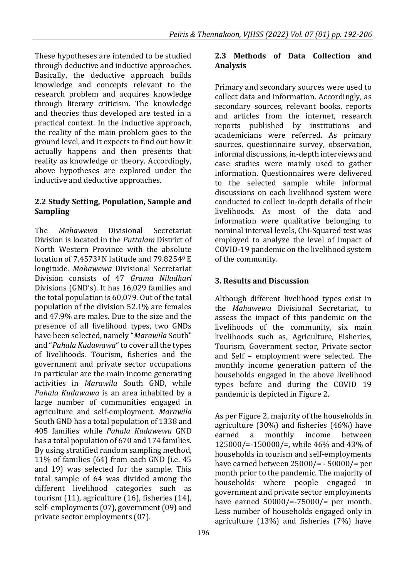These hypotheses are intended to be studied through deductive and inductive approaches. Basically, the deductive approach builds knowledge and concepts relevant to the research problem and acquires knowledge through literary criticism. The knowledge and theories thus developed are tested in a practical context. In the inductive approach, the reality of the main problem goes to the ground level, and it expects to find out how it actually happens and then presents that reality as knowledge or theory. Accordingly, above hypotheses are explored under the inductive and deductive approaches.

### **2.2 Study Setting, Population, Sample and Sampling**

The *Mahawewa* Divisional Secretariat Division is located in the *Puttalam* District of North Western Province with the absolute location of 7.4573<sup>0</sup> N latitude and 79.8254<sup>0</sup> E longitude. *Mahawewa* Divisional Secretariat Division consists of 47 *Grama Niladhari* Divisions (GND's). It has 16,029 families and the total population is 60,079. Out of the total population of the division 52.1% are females and 47.9% are males. Due to the size and the presence of all livelihood types, two GNDs have been selected, namely "*Marawila* South" and "*Pahala Kudawawa*" to cover all the types of livelihoods. Tourism, fisheries and the government and private sector occupations in particular are the main income generating activities in *Marawila* South GND, while *Pahala Kudawawa* is an area inhabited by a large number of communities engaged in agriculture and self-employment. *Marawila*  South GND has a total population of 1338 and 405 families while *Pahala Kudawewa* GND has a total population of 670 and 174 families. By using stratified random sampling method, 11% of families (64) from each GND (i.e. 45 and 19) was selected for the sample. This total sample of 64 was divided among the different livelihood categories such as tourism (11), agriculture (16), fisheries (14), self- employments (07), government (09) and private sector employments (07).

#### **2.3 Methods of Data Collection and Analysis**

Primary and secondary sources were used to collect data and information. Accordingly, as secondary sources, relevant books, reports and articles from the internet, research reports published by institutions and academicians were referred. As primary sources, questionnaire survey, observation, informal discussions, in-depth interviews and case studies were mainly used to gather information. Questionnaires were delivered to the selected sample while informal discussions on each livelihood system were conducted to collect in-depth details of their livelihoods. As most of the data and information were qualitative belonging to nominal interval levels, Chi-Squared test was employed to analyze the level of impact of COVID-19 pandemic on the livelihood system of the community.

# **3. Results and Discussion**

Although different livelihood types exist in the *Mahawewa* Divisional Secretariat, to assess the impact of this pandemic on the livelihoods of the community, six main livelihoods such as, Agriculture, Fisheries, Tourism, Government sector, Private sector and Self – employment were selected. The monthly income generation pattern of the households engaged in the above livelihood types before and during the COVID 19 pandemic is depicted in Figure 2.

As per Figure 2, majority of the households in agriculture (30%) and fisheries (46%) have earned a monthly income between 125000/=-150000/=, while 46% and 43% of households in tourism and self-employments have earned between 25000/= - 50000/= per month prior to the pandemic. The majority of households where people engaged in government and private sector employments have earned 50000/=-75000/= per month. Less number of households engaged only in agriculture (13%) and fisheries (7%) have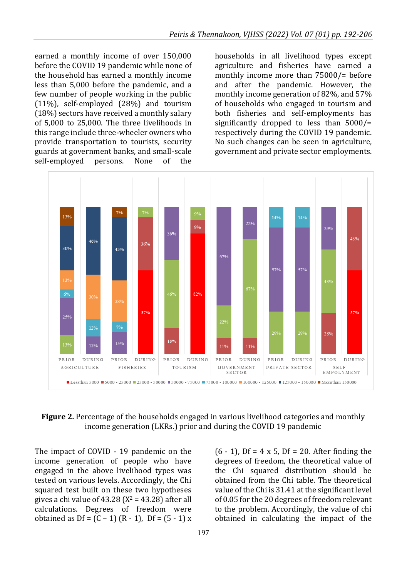earned a monthly income of over 150,000 before the COVID 19 pandemic while none of the household has earned a monthly income less than 5,000 before the pandemic, and a few number of people working in the public (11%), self-employed (28%) and tourism (18%) sectors have received a monthly salary of 5,000 to 25,000. The three livelihoods in this range include three-wheeler owners who provide transportation to tourists, security guards at government banks, and small-scale self-employed persons. None of the

households in all livelihood types except agriculture and fisheries have earned a monthly income more than 75000/= before and after the pandemic. However, the monthly income generation of 82%, and 57% of households who engaged in tourism and both fisheries and self-employments has significantly dropped to less than 5000/= respectively during the COVID 19 pandemic. No such changes can be seen in agriculture, government and private sector employments.



#### **Figure 2.** Percentage of the households engaged in various livelihood categories and monthly income generation (LKRs.) prior and during the COVID 19 pandemic

The impact of COVID - 19 pandemic on the income generation of people who have engaged in the above livelihood types was tested on various levels. Accordingly, the Chi squared test built on these two hypotheses gives a chi value of  $43.28$  ( $X^2 = 43.28$ ) after all calculations. Degrees of freedom were obtained as  $Df = (C - 1) (R - 1)$ ,  $Df = (5 - 1) x$   $(6 - 1)$ , Df = 4 x 5, Df = 20. After finding the degrees of freedom, the theoretical value of the Chi squared distribution should be obtained from the Chi table. The theoretical value of the Chi is 31.41 at the significant level of 0.05 for the 20 degrees of freedom relevant to the problem. Accordingly, the value of chi obtained in calculating the impact of the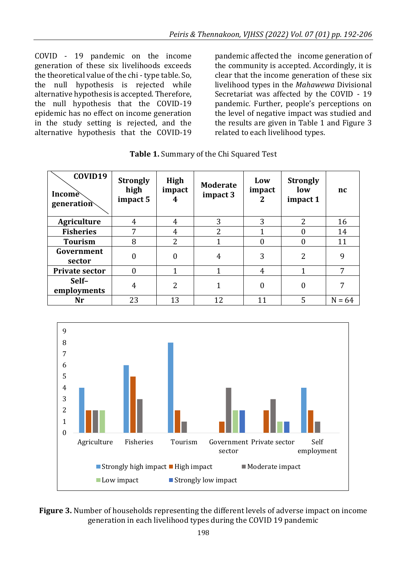COVID - 19 pandemic on the income generation of these six livelihoods exceeds the theoretical value of the chi - type table. So, the null hypothesis is rejected while alternative hypothesis is accepted. Therefore, the null hypothesis that the COVID-19 epidemic has no effect on income generation in the study setting is rejected, and the alternative hypothesis that the COVID-19 pandemic affected the income generation of the community is accepted. Accordingly, it is clear that the income generation of these six livelihood types in the *Mahawewa* Divisional Secretariat was affected by the COVID - 19 pandemic. Further, people's perceptions on the level of negative impact was studied and the results are given in Table 1 and Figure 3 related to each livelihood types.

| COVID19<br>Income<br>generation | <b>Strongly</b><br>high<br>impact 5 | High<br>impact<br>4 | <b>Moderate</b><br>impact 3 | Low<br>impact<br>2 | <b>Strongly</b><br>low<br>impact 1 | nc       |
|---------------------------------|-------------------------------------|---------------------|-----------------------------|--------------------|------------------------------------|----------|
| Agriculture                     | 4                                   | 4                   | 3                           | 3                  | $\overline{c}$                     | 16       |
| <b>Fisheries</b>                | 7                                   | 4                   | 2                           |                    |                                    | 14       |
| <b>Tourism</b>                  | 8                                   | 2                   |                             | 0                  |                                    | 11       |
| Government<br>sector            | 0                                   | 0                   | 4                           | 3                  | $\overline{c}$                     | 9        |
| <b>Private sector</b>           | 0                                   | 1                   |                             | 4                  |                                    | 7        |
| Self-<br>employments            | 4                                   | $\overline{2}$      |                             | $\Omega$           | 0                                  | 7        |
| Nr                              | 23                                  | 13                  | 12                          | 11                 | 5                                  | $N = 64$ |





**Figure 3.** Number of households representing the different levels of adverse impact on income generation in each livelihood types during the COVID 19 pandemic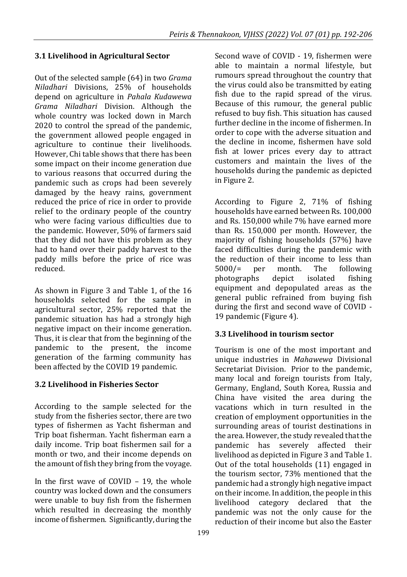### **3.1 Livelihood in Agricultural Sector**

Out of the selected sample (64) in two *Grama Niladhari* Divisions, 25% of households depend on agriculture in *Pahala Kudawewa Grama Niladhari* Division. Although the whole country was locked down in March 2020 to control the spread of the pandemic, the government allowed people engaged in agriculture to continue their livelihoods. However, Chi table shows that there has been some impact on their income generation due to various reasons that occurred during the pandemic such as crops had been severely damaged by the heavy rains, government reduced the price of rice in order to provide relief to the ordinary people of the country who were facing various difficulties due to the pandemic. However, 50% of farmers said that they did not have this problem as they had to hand over their paddy harvest to the paddy mills before the price of rice was reduced.

As shown in Figure 3 and Table 1, of the 16 households selected for the sample in agricultural sector, 25% reported that the pandemic situation has had a strongly high negative impact on their income generation. Thus, it is clear that from the beginning of the pandemic to the present, the income generation of the farming community has been affected by the COVID 19 pandemic.

#### **3.2 Livelihood in Fisheries Sector**

According to the sample selected for the study from the fisheries sector, there are two types of fishermen as Yacht fisherman and Trip boat fisherman. Yacht fisherman earn a daily income. Trip boat fishermen sail for a month or two, and their income depends on the amount of fish they bring from the voyage.

In the first wave of COVID – 19, the whole country was locked down and the consumers were unable to buy fish from the fishermen which resulted in decreasing the monthly income of fishermen. Significantly, during the Second wave of COVID - 19, fishermen were able to maintain a normal lifestyle, but rumours spread throughout the country that the virus could also be transmitted by eating fish due to the rapid spread of the virus. Because of this rumour, the general public refused to buy fish. This situation has caused further decline in the income of fishermen. In order to cope with the adverse situation and the decline in income, fishermen have sold fish at lower prices every day to attract customers and maintain the lives of the households during the pandemic as depicted in Figure 2.

According to Figure 2, 71% of fishing households have earned between Rs. 100,000 and Rs. 150,000 while 7% have earned more than Rs. 150,000 per month. However, the majority of fishing households (57%) have faced difficulties during the pandemic with the reduction of their income to less than 5000/= per month. The following photographs depict isolated fishing equipment and depopulated areas as the general public refrained from buying fish during the first and second wave of COVID - 19 pandemic (Figure 4).

#### **3.3 Livelihood in tourism sector**

Tourism is one of the most important and unique industries in *Mahawewa* Divisional Secretariat Division. Prior to the pandemic, many local and foreign tourists from Italy, Germany, England, South Korea, Russia and China have visited the area during the vacations which in turn resulted in the creation of employment opportunities in the surrounding areas of tourist destinations in the area. However, the study revealed that the pandemic has severely affected their livelihood as depicted in Figure 3 and Table 1. Out of the total households (11) engaged in the tourism sector, 73% mentioned that the pandemic had a strongly high negative impact on their income. In addition, the people in this livelihood category declared that the pandemic was not the only cause for the reduction of their income but also the Easter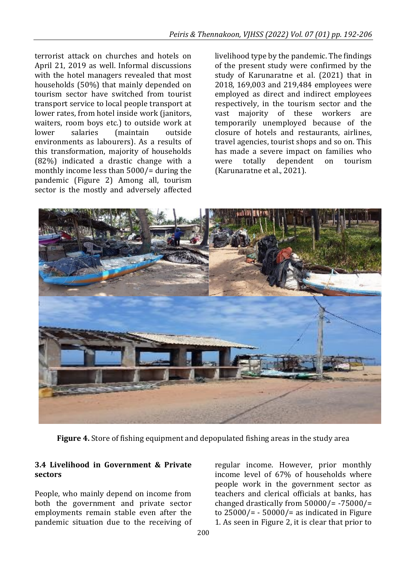terrorist attack on churches and hotels on April 21, 2019 as well. Informal discussions with the hotel managers revealed that most households (50%) that mainly depended on tourism sector have switched from tourist transport service to local people transport at lower rates, from hotel inside work (janitors, waiters, room boys etc.) to outside work at lower salaries (maintain outside environments as labourers). As a results of this transformation, majority of households (82%) indicated a drastic change with a monthly income less than 5000/= during the pandemic (Figure 2) Among all, tourism sector is the mostly and adversely affected livelihood type by the pandemic. The findings of the present study were confirmed by the study of Karunaratne et al. (2021) that in 2018, 169,003 and 219,484 employees were employed as direct and indirect employees respectively, in the tourism sector and the vast majority of these workers are temporarily unemployed because of the closure of hotels and restaurants, airlines, travel agencies, tourist shops and so on. This has made a severe impact on families who were totally dependent on tourism (Karunaratne et al., 2021).



**Figure 4.** Store of fishing equipment and depopulated fishing areas in the study area

#### **3.4 Livelihood in Government & Private sectors**

People, who mainly depend on income from both the government and private sector employments remain stable even after the pandemic situation due to the receiving of regular income. However, prior monthly income level of 67% of households where people work in the government sector as teachers and clerical officials at banks, has changed drastically from  $50000/$ = -75000/= to  $25000/=\div 50000/=\overline{\div}$  as indicated in Figure 1. As seen in Figure 2, it is clear that prior to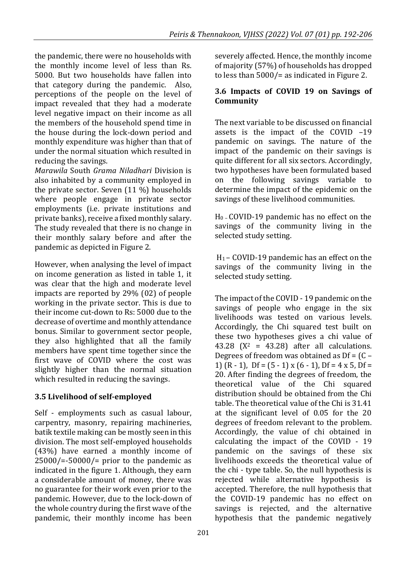the pandemic, there were no households with the monthly income level of less than Rs. 5000. But two households have fallen into that category during the pandemic. Also, perceptions of the people on the level of impact revealed that they had a moderate level negative impact on their income as all the members of the household spend time in the house during the lock-down period and monthly expenditure was higher than that of under the normal situation which resulted in reducing the savings.

*Marawila* South *Grama Niladhari* Division is also inhabited by a community employed in the private sector. Seven (11 %) households where people engage in private sector employments (i.e. private institutions and private banks), receive a fixed monthly salary. The study revealed that there is no change in their monthly salary before and after the pandemic as depicted in Figure 2.

However, when analysing the level of impact on income generation as listed in table 1, it was clear that the high and moderate level impacts are reported by 29% (02) of people working in the private sector. This is due to their income cut-down to Rs: 5000 due to the decrease of overtime and monthly attendance bonus. Similar to government sector people, they also highlighted that all the family members have spent time together since the first wave of COVID where the cost was slightly higher than the normal situation which resulted in reducing the savings.

# **3.5 Livelihood of self-employed**

Self - employments such as casual labour, carpentry, masonry, repairing machineries, batik textile making can be mostly seen in this division. The most self-employed households (43%) have earned a monthly income of  $25000/=-50000/=$  prior to the pandemic as indicated in the figure 1. Although, they earn a considerable amount of money, there was no guarantee for their work even prior to the pandemic. However, due to the lock-down of the whole country during the first wave of the pandemic, their monthly income has been

severely affected. Hence, the monthly income of majority (57%) of households has dropped to less than 5000/= as indicated in Figure 2.

#### **3.6 Impacts of COVID 19 on Savings of Community**

The next variable to be discussed on financial assets is the impact of the COVID –19 pandemic on savings. The nature of the impact of the pandemic on their savings is quite different for all six sectors. Accordingly, two hypotheses have been formulated based on the following savings variable to determine the impact of the epidemic on the savings of these livelihood communities.

 $H_0$  – COVID-19 pandemic has no effect on the savings of the community living in the selected study setting.

H1 – COVID-19 pandemic has an effect on the savings of the community living in the selected study setting.

The impact of the COVID - 19 pandemic on the savings of people who engage in the six livelihoods was tested on various levels. Accordingly, the Chi squared test built on these two hypotheses gives a chi value of 43.28 ( $X^2$  = 43.28) after all calculations. Degrees of freedom was obtained as Df = (C – 1)  $(R - 1)$ ,  $Df = (5 - 1) \times (6 - 1)$ ,  $Df = 4 \times 5$ ,  $Df =$ 20. After finding the degrees of freedom, the theoretical value of the Chi squared distribution should be obtained from the Chi table. The theoretical value of the Chi is 31.41 at the significant level of 0.05 for the 20 degrees of freedom relevant to the problem. Accordingly, the value of chi obtained in calculating the impact of the COVID - 19 pandemic on the savings of these six livelihoods exceeds the theoretical value of the chi - type table. So, the null hypothesis is rejected while alternative hypothesis is accepted. Therefore, the null hypothesis that the COVID-19 pandemic has no effect on savings is rejected, and the alternative hypothesis that the pandemic negatively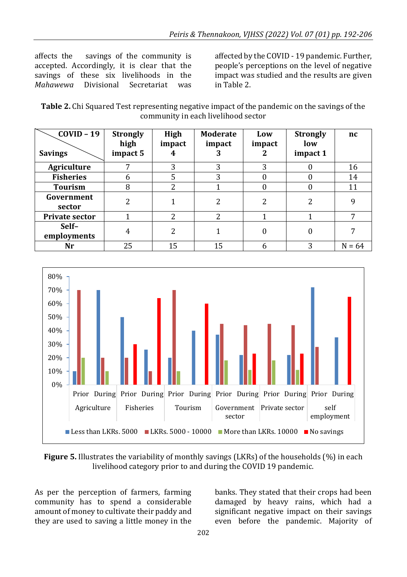affects the savings of the community is accepted. Accordingly, it is clear that the savings of these six livelihoods in the *Mahawewa* Divisional Secretariat was affected by the COVID - 19 pandemic. Further, people's perceptions on the level of negative impact was studied and the results are given in Table 2.

| Table 2. Chi Squared Test representing negative impact of the pandemic on the savings of the |
|----------------------------------------------------------------------------------------------|
| community in each livelihood sector                                                          |

| $COVID - 19$<br><b>Savings</b> | <b>Strongly</b><br>high<br>impact 5 | High<br>impact<br>4 | <b>Moderate</b><br>impact<br>3 | Low<br>impact | <b>Strongly</b><br>low<br>impact 1 | nc       |
|--------------------------------|-------------------------------------|---------------------|--------------------------------|---------------|------------------------------------|----------|
| <b>Agriculture</b>             | 7                                   | 3                   | 3                              | 3             |                                    | 16       |
| <b>Fisheries</b>               | 6                                   | 5                   | 3                              |               |                                    | 14       |
| <b>Tourism</b>                 | 8                                   | າ                   |                                |               |                                    | 11       |
| Government<br>sector           | $\overline{c}$                      |                     | 2                              | າ             | 2                                  | 9        |
| <b>Private sector</b>          |                                     | $\overline{2}$      | $\overline{c}$                 |               |                                    | ⇁        |
| Self-<br>employments           | 4                                   | $\overline{c}$      |                                |               | 0                                  | 7        |
| Nr                             | 25                                  | 15                  | 15                             | h             | 3                                  | $N = 64$ |



**Figure 5.** Illustrates the variability of monthly savings (LKRs) of the households (%) in each livelihood category prior to and during the COVID 19 pandemic.

As per the perception of farmers, farming community has to spend a considerable amount of money to cultivate their paddy and they are used to saving a little money in the

banks. They stated that their crops had been damaged by heavy rains, which had a significant negative impact on their savings even before the pandemic. Majority of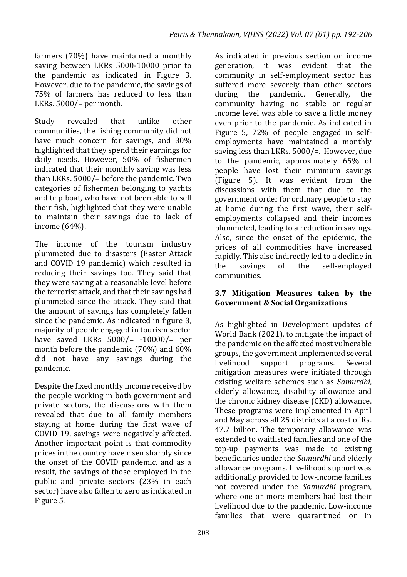farmers (70%) have maintained a monthly saving between LKRs 5000-10000 prior to the pandemic as indicated in Figure 3. However, due to the pandemic, the savings of 75% of farmers has reduced to less than LKRs.  $5000/$ = per month.

Study revealed that unlike other communities, the fishing community did not have much concern for savings, and 30% highlighted that they spend their earnings for daily needs. However, 50% of fishermen indicated that their monthly saving was less than LKRs. 5000/= before the pandemic. Two categories of fishermen belonging to yachts and trip boat, who have not been able to sell their fish, highlighted that they were unable to maintain their savings due to lack of income (64%).

The income of the tourism industry plummeted due to disasters (Easter Attack and COVID 19 pandemic) which resulted in reducing their savings too. They said that they were saving at a reasonable level before the terrorist attack, and that their savings had plummeted since the attack. They said that the amount of savings has completely fallen since the pandemic. As indicated in figure 3, majority of people engaged in tourism sector have saved LKRs 5000/= -10000/= per month before the pandemic (70%) and 60% did not have any savings during the pandemic.

Despite the fixed monthly income received by the people working in both government and private sectors, the discussions with them revealed that due to all family members staying at home during the first wave of COVID 19, savings were negatively affected. Another important point is that commodity prices in the country have risen sharply since the onset of the COVID pandemic, and as a result, the savings of those employed in the public and private sectors (23% in each sector) have also fallen to zero as indicated in Figure 5.

As indicated in previous section on income generation, it was evident that the community in self-employment sector has suffered more severely than other sectors during the pandemic. Generally, the community having no stable or regular income level was able to save a little money even prior to the pandemic. As indicated in Figure 5, 72% of people engaged in selfemployments have maintained a monthly saving less than LKRs. 5000/=. However, due to the pandemic, approximately 65% of people have lost their minimum savings (Figure 5). It was evident from the discussions with them that due to the government order for ordinary people to stay at home during the first wave, their selfemployments collapsed and their incomes plummeted, leading to a reduction in savings. Also, since the onset of the epidemic, the prices of all commodities have increased rapidly. This also indirectly led to a decline in the savings of the self-employed communities.

#### **3.7 Mitigation Measures taken by the Government & Social Organizations**

As highlighted in Development updates of World Bank (2021), to mitigate the impact of the pandemic on the affected most vulnerable groups, the government implemented several livelihood support programs. Several mitigation measures were initiated through existing welfare schemes such as *Samurdhi*, elderly allowance, disability allowance and the chronic kidney disease (CKD) allowance. These programs were implemented in April and May across all 25 districts at a cost of Rs. 47.7 billion. The temporary allowance was extended to waitlisted families and one of the top-up payments was made to existing beneficiaries under the *Samurdhi* and elderly allowance programs. Livelihood support was additionally provided to low-income families not covered under the *Samurdhi* program, where one or more members had lost their livelihood due to the pandemic. Low-income families that were quarantined or in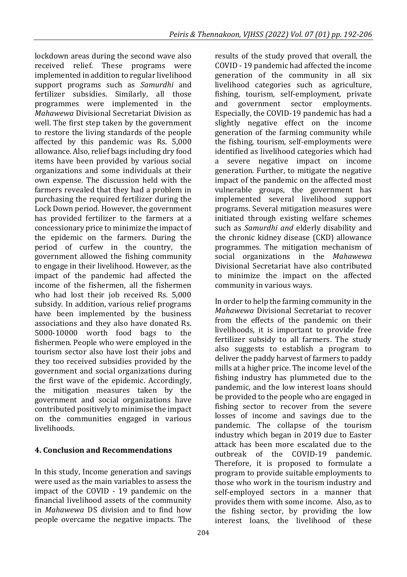lockdown areas during the second wave also received relief. These programs were implemented in addition to regular livelihood support programs such as *Samurdhi* and fertilizer subsidies. Similarly, all those programmes were implemented in the *Mahawewa* Divisional Secretariat Division as well. The first step taken by the government to restore the living standards of the people affected by this pandemic was Rs. 5,000 allowance. Also, relief bags including dry food items have been provided by various social organizations and some individuals at their own expense. The discussion held with the farmers revealed that they had a problem in purchasing the required fertilizer during the Lock Down period. However, the government has provided fertilizer to the farmers at a concessionary price to minimize the impact of the epidemic on the farmers. During the period of curfew in the country, the government allowed the fishing community to engage in their livelihood. However, as the impact of the pandemic had affected the income of the fishermen, all the fishermen who had lost their job received Rs. 5,000 subsidy. In addition, various relief programs have been implemented by the business associations and they also have donated Rs. 5000-10000 worth food bags to the fishermen. People who were employed in the tourism sector also have lost their jobs and they too received subsidies provided by the government and social organizations during the first wave of the epidemic. Accordingly, the mitigation measures taken by the government and social organizations have contributed positively to minimise the impact on the communities engaged in various livelihoods.

#### **4. Conclusion and Recommendations**

In this study, Income generation and savings were used as the main variables to assess the impact of the COVID - 19 pandemic on the financial livelihood assets of the community in *Mahawewa* DS division and to find how people overcame the negative impacts. The results of the study proved that overall, the COVID - 19 pandemic had affected the income generation of the community in all six livelihood categories such as agriculture, fishing, tourism, self-employment, private and government sector employments. Especially, the COVID-19 pandemic has had a slightly negative effect on the income generation of the farming community while the fishing, tourism, self-employments were identified as livelihood categories which had a severe negative impact on income generation. Further, to mitigate the negative impact of the pandemic on the affected most vulnerable groups, the government has implemented several livelihood support programs. Several mitigation measures were initiated through existing welfare schemes such as *Samurdhi and* elderly disability and the chronic kidney disease (CKD) allowance programmes. The mitigation mechanism of social organizations in the *Mahawewa*  Divisional Secretariat have also contributed to minimize the impact on the affected community in various ways.

In order to help the farming community in the *Mahawewa* Divisional Secretariat to recover from the effects of the pandemic on their livelihoods, it is important to provide free fertilizer subsidy to all farmers. The study also suggests to establish a program to deliver the paddy harvest of farmers to paddy mills at a higher price. The income level of the fishing industry has plummeted due to the pandemic, and the low interest loans should be provided to the people who are engaged in fishing sector to recover from the severe losses of income and savings due to the pandemic. The collapse of the tourism industry which began in 2019 due to Easter attack has been more escalated due to the outbreak of the COVID-19 pandemic. Therefore, it is proposed to formulate a program to provide suitable employments to those who work in the tourism industry and self-employed sectors in a manner that provides them with some income. Also, as to the fishing sector, by providing the low interest loans, the livelihood of these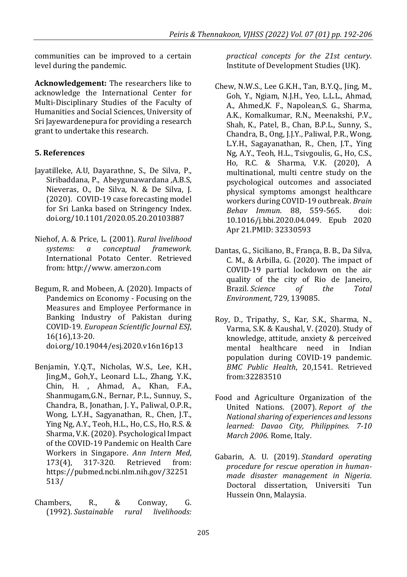communities can be improved to a certain level during the pandemic.

**Acknowledgement:** The researchers like to acknowledge the International Center for Multi-Disciplinary Studies of the Faculty of Humanities and Social Sciences, University of Sri Jayewardenepura for providing a research grant to undertake this research.

#### **5. References**

- Jayatilleke, A.U, Dayarathne, S., De Silva, P., Siribaddana, P., Abeygunawardana ,A.B.S, Nieveras, O., De Silva, N. & De Silva, J. (2020). COVID-19 case forecasting model for Sri Lanka based on Stringency Index. doi.org/10.1101/2020.05.20.20103887
- Niehof, A. & Price, L. (2001). *Rural livelihood systems: a conceptual framework.* International Potato Center. Retrieved from[: http://www.](http://www/) amerzon.com
- Begum, R. and Mobeen, A. (2020). Impacts of Pandemics on Economy - Focusing on the Measures and Employee Performance in Banking Industry of Pakistan during COVID-19. *European Scientific Journal ESJ*, 16(16),13-20. doi.org/10.19044/esj.2020.v16n16p13
- Benjamin, Y.Q.T., Nicholas, W.S., Lee, K.H., Jing,M., Goh,Y., Leonard L.L., Zhang, Y.K., Chin, H. , Ahmad, A., Khan, F.A., Shanmugam,G.N., Bernar, P.L., Sunnuy, S., Chandra, B., Jonathan, J. Y., Paliwal, O.P.R., Wong, L.Y.H., Sagyanathan, R., Chen, J.T., Ying Ng, A.Y., Teoh, H.L., Ho, C.S., Ho, R.S. & Sharma, V.K.(2020). Psychological Impact of the COVID-19 Pandemic on Health Care Workers in Singapore. *Ann Intern Med*, 173(4), 317-320. Retrieved from: [https://pubmed.ncbi.nlm.nih.gov/32251](https://pubmed.ncbi.nlm.nih.gov/32251513/) [513/](https://pubmed.ncbi.nlm.nih.gov/32251513/)
- Chambers, R., & Conway, G. (1992). *Sustainable rural livelihoods:*

*practical concepts for the 21st century*. Institute of Development Studies (UK).

- Chew, N.W.S., Lee G.K.H., Tan, B.Y.Q., Jing, M., Goh, Y., Ngiam, N.J.H., Yeo, L.L.L., Ahmad, A., Ahmed,K. F., Napolean,S. G., Sharma, A.K., Komalkumar, R.N., Meenakshi, P.V., Shah, K., Patel, B., Chan, B.P.L., Sunny, S., Chandra, B., Ong, J.J.Y., Paliwal, P.R., Wong, L.Y.H., Sagayanathan, R., Chen, J.T., Ying Ng, A.Y., Teoh, H.L., Tsivgoulis, G., Ho, C.S., Ho, R.C. & Sharma, V.K. (2020), A multinational, multi centre study on the psychological outcomes and associated physical symptoms amongst healthcare workers during COVID-19 outbreak. *Brain Behav Immun*. 88, 559-565. doi: 10.1016/j.bbi.2020.04.049. Epub 2020 Apr 21.PMID: 32330593
- Dantas, G., Siciliano, B., França, B. B., Da Silva, C. M., & Arbilla, G. (2020). The impact of COVID-19 partial lockdown on the air quality of the city of Rio de Janeiro, Brazil. *Science of the Total Environment*, 729, 139085.
- Roy, D., Tripathy, S., Kar, S.K., Sharma, N., Varma, S.K. & Kaushal, V. (2020). Study of knowledge, attitude, anxiety & perceived mental healthcare need in Indian population during COVID-19 pandemic. *BMC Public Health*, 20,1541. Retrieved from[:32283510](https://www.ncbi.nlm.nih.gov/pubmed/32283510)
- Food and Agriculture Organization of the United Nations. (2007). *Report of the National sharing of experiences and lessons learned: Davao City, Philippines. 7-10 March 2006.* Rome, Italy.
- Gabarin, A. U. (2019). *Standard operating procedure for rescue operation in humanmade disaster management in Nigeria.*  Doctoral dissertation, Universiti Tun Hussein Onn, Malaysia.